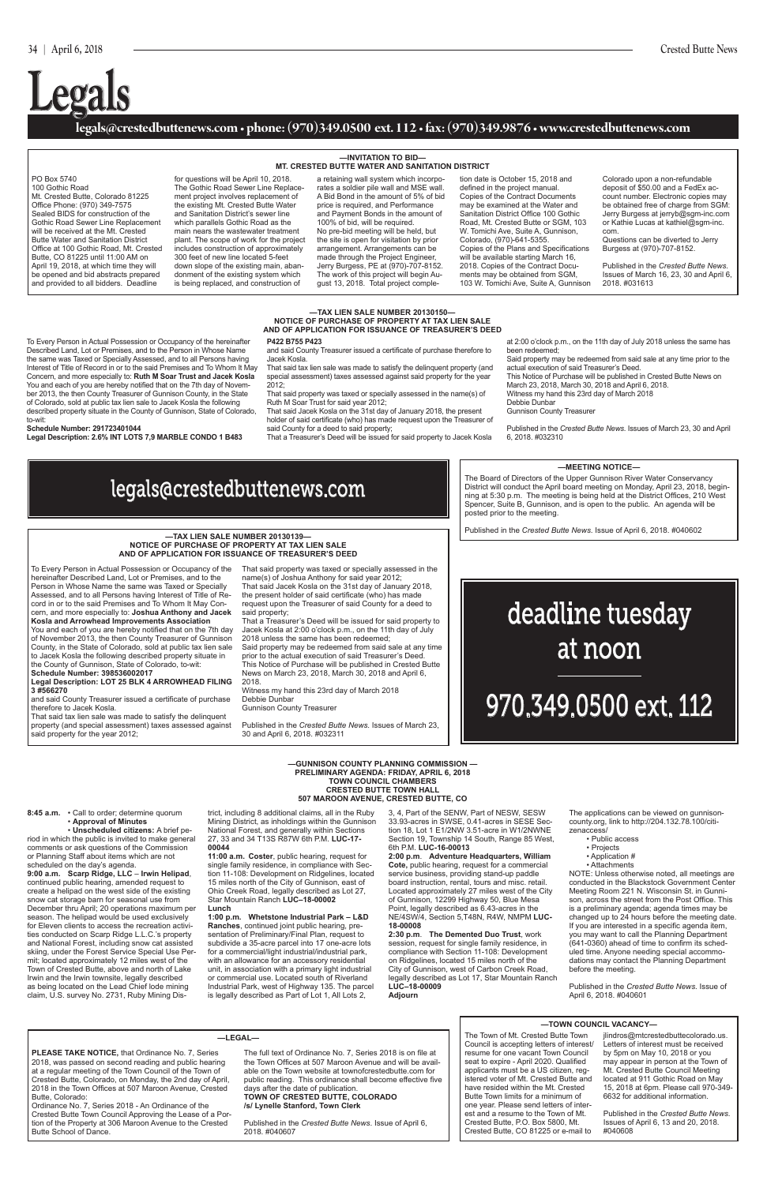## **legals@crestedbuttenews.com • phone: (970)349.0500 ext. 112 • fax: (970)349.9876 • www.crestedbuttenews.com**

# **Legals**

legals@crestedbuttenews.com

deadline tuesday at noon

# 970.349.0500 ext. 112

### **—TAX LIEN SALE NUMBER 20130150— NOTICE OF PURCHASE OF PROPERTY AT TAX LIEN SALE AND OF APPLICATION FOR ISSUANCE OF TREASURER'S DEED**

To Every Person in Actual Possession or Occupancy of the hereinafter Described Land, Lot or Premises, and to the Person in Whose Name the same was Taxed or Specially Assessed, and to all Persons having Interest of Title of Record in or to the said Premises and To Whom It May Concern, and more especially to: **Ruth M Soar Trust and Jacek Kosla** You and each of you are hereby notified that on the 7th day of November 2013, the then County Treasurer of Gunnison County, in the State of Colorado, sold at public tax lien sale to Jacek Kosla the following described property situate in the County of Gunnison, State of Colorado, to-wit:

### **Schedule Number: 291723401044**

**Legal Description: 2.6% INT LOTS 7,9 MARBLE CONDO 1 B483** 

### **P422 B755 P423**

and said County Treasurer issued a certificate of purchase therefore to Jacek Kosla.

That said tax lien sale was made to satisfy the delinquent property (and special assessment) taxes assessed against said property for the year 2012;

That said property was taxed or specially assessed in the name(s) of Ruth M Soar Trust for said year 2012;

That said Jacek Kosla on the 31st day of January 2018, the present holder of said certificate (who) has made request upon the Treasurer of said County for a deed to said property;

That a Treasurer's Deed will be issued for said property to Jacek Kosla

at 2:00 o'clock p.m., on the 11th day of July 2018 unless the same has been redeemed;

Said property may be redeemed from said sale at any time prior to the actual execution of said Treasurer's Deed. This Notice of Purchase will be published in Crested Butte News on

March 23, 2018, March 30, 2018 and April 6, 2018.

Witness my hand this 23rd day of March 2018 Debbie Dunbar

Gunnison County Treasurer

Published in the *Crested Butte News*. Issues of March 23, 30 and April 6, 2018. #032310

#### **—MEETING NOTICE—**

### **—TOWN COUNCIL VACANCY—**

#### **—TAX LIEN SALE NUMBER 20130139— NOTICE OF PURCHASE OF PROPERTY AT TAX LIEN SALE AND OF APPLICATION FOR ISSUANCE OF TREASURER'S DEED**

To Every Person in Actual Possession or Occupancy of the hereinafter Described Land, Lot or Premises, and to the Person in Whose Name the same was Taxed or Specially Assessed, and to all Persons having Interest of Title of Record in or to the said Premises and To Whom It May Concern, and more especially to: **Joshua Anthony and Jacek Kosla and Arrowhead Improvements Association**

You and each of you are hereby notified that on the 7th day of November 2013, the then County Treasurer of Gunnison County, in the State of Colorado, sold at public tax lien sale to Jacek Kosla the following described property situate in the County of Gunnison, State of Colorado, to-wit:

**Schedule Number: 398536002017 Legal Description: LOT 25 BLK 4 ARROWHEAD FILING 3 #566270**

and said County Treasurer issued a certificate of purchase therefore to Jacek Kosla.

That said tax lien sale was made to satisfy the delinquent property (and special assessment) taxes assessed against said property for the year 2012;

name(s) of Joshua Anthony for said year 2012;

That said property was taxed or specially assessed in the That said Jacek Kosla on the 31st day of January 2018, the present holder of said certificate (who) has made request upon the Treasurer of said County for a deed to said property;

That a Treasurer's Deed will be issued for said property to 2018 unless the same has been redeemed;

Jacek Kosla at 2:00 o'clock p.m., on the 11th day of July

Said property may be redeemed from said sale at any time prior to the actual execution of said Treasurer's Deed. This Notice of Purchase will be published in Crested Butte News on March 23, 2018, March 30, 2018 and April 6,

2018. Witness my hand this 23rd day of March 2018 Debbie Dunbar Gunnison County Treasurer

Published in the *Crested Butte News*. Issues of March 23, 30 and April 6, 2018. #032311

#### **—INVITATION TO BID— MT. CRESTED BUTTE WATER AND SANITATION DISTRICT**

PO Box 5740 100 Gothic Road Mt. Crested Butte, Colorado 81225 Office Phone: (970) 349-7575 Sealed BIDS for construction of the Gothic Road Sewer Line Replacement will be received at the Mt. Crested Butte Water and Sanitation District Office at 100 Gothic Road, Mt. Crested Butte, CO 81225 until 11:00 AM on April 19, 2018, at which time they will be opened and bid abstracts prepared and provided to all bidders. Deadline

for questions will be April 10, 2018. The Gothic Road Sewer Line Replacement project involves replacement of the existing Mt. Crested Butte Water and Sanitation District's sewer line which parallels Gothic Road as the main nears the wastewater treatment plant. The scope of work for the project includes construction of approximately 300 feet of new line located 5-feet down slope of the existing main, abandonment of the existing system which is being replaced, and construction of

a retaining wall system which incorporates a soldier pile wall and MSE wall. A Bid Bond in the amount of 5% of bid price is required, and Performance and Payment Bonds in the amount of 100% of bid, will be required. No pre-bid meeting will be held, but the site is open for visitation by prior arrangement. Arrangements can be made through the Project Engineer, Jerry Burgess, PE at (970)-707-8152. The work of this project will begin August 13, 2018. Total project completion date is October 15, 2018 and defined in the project manual. Copies of the Contract Documents may be examined at the Water and Sanitation District Office 100 Gothic Road, Mt. Crested Butte or SGM, 103 W. Tomichi Ave, Suite A, Gunnison, Colorado, (970)-641-5355. Copies of the Plans and Specifications will be available starting March 16, 2018. Copies of the Contract Documents may be obtained from SGM, 103 W. Tomichi Ave, Suite A, Gunnison

Colorado upon a non-refundable deposit of \$50.00 and a FedEx account number. Electronic copies may be obtained free of charge from SGM: Jerry Burgess at jerryb@sgm-inc.com or Kathie Lucas at kathiel@sgm-inc. com.

Questions can be diverted to Jerry Burgess at (970)-707-8152.

Published in the *Crested Butte News*. Issues of March 16, 23, 30 and April 6, 2018. #031613

The Board of Directors of the Upper Gunnison River Water Conservancy District will conduct the April board meeting on Monday, April 23, 2018, beginning at 5:30 p.m. The meeting is being held at the District Offices, 210 West Spencer, Suite B, Gunnison, and is open to the public. An agenda will be posted prior to the meeting.

Published in the *Crested Butte News*. Issue of April 6, 2018. #040602

The Town of Mt. Crested Butte Town Council is accepting letters of interest/ resume for one vacant Town Council seat to expire - April 2020. Qualified applicants must be a US citizen, registered voter of Mt. Crested Butte and have resided within the Mt. Crested Butte Town limits for a minimum of one year. Please send letters of interest and a resume to the Town of Mt. Crested Butte, P.O. Box 5800, Mt. Crested Butte, CO 81225 or e-mail to

jlindros@mtcrestedbuttecolorado.us. Letters of interest must be received by 5pm on May 10, 2018 or you may appear in person at the Town of Mt. Crested Butte Council Meeting located at 911 Gothic Road on May 15, 2018 at 6pm. Please call 970-349- 6632 for additional information.

Published in the *Crested Butte News*. Issues of April 6, 13 and 20, 2018. #040608

**—GUNNISON COUNTY PLANNING COMMISSION —**

**8:45 a.m.** • Call to order; determine quorum • **Approval of Minutes** 

 • **Unscheduled citizens:** A brief period in which the public is invited to make general comments or ask questions of the Commission or Planning Staff about items which are not scheduled on the day's agenda.

**PRELIMINARY AGENDA: FRIDAY, APRIL 6, 2018 TOWN COUNCIL CHAMBERS CRESTED BUTTE TOWN HALL 507 MAROON AVENUE, CRESTED BUTTE, CO**  trict, including 8 additional claims, all in the Ruby

**9:00 a.m. Scarp Ridge, LLC** – **Irwin Helipad**, continued public hearing, amended request to create a helipad on the west side of the existing snow cat storage barn for seasonal use from December thru April; 20 operations maximum per season. The helipad would be used exclusively for Eleven clients to access the recreation activities conducted on Scarp Ridge L.L.C.'s property and National Forest, including snow cat assisted skiing, under the Forest Service Special Use Permit; located approximately 12 miles west of the Town of Crested Butte, above and north of Lake Irwin and the Irwin townsite, legally described as being located on the Lead Chief lode mining claim, U.S. survey No. 2731, Ruby Mining Dis-

Mining District, as inholdings within the Gunnison National Forest, and generally within Sections 27, 33 and 34 T13S R87W 6th P.M. **LUC-17-**

**00044** 

**11:00 a.m. Coster**, public hearing, request for single family residence, in compliance with Sec-

tion 11-108: Development on Ridgelines, located 15 miles north of the City of Gunnison, east of Ohio Creek Road, legally described as Lot 27, Star Mountain Ranch **LUC–18-00002** 

#### **Lunch**

**1:00 p.m. Whetstone Industrial Park – L&D Ranches**, continued joint public hearing, presentation of Preliminary/Final Plan, request to subdivide a 35-acre parcel into 17 one-acre lots for a commercial/light industrial/industrial park, with an allowance for an accessory residential unit, in association with a primary light industrial or commercial use. Located south of Riverland Industrial Park, west of Highway 135. The parcel is legally described as Part of Lot 1, All Lots 2,

3, 4, Part of the SENW, Part of NESW, SESW 33.93-acres in SWSE, 0.41-acres in SESE Section 18, Lot 1 E1/2NW 3.51-acre in W1/2NWNE Section 19, Township 14 South, Range 85 West, 6th P.M. **LUC-16-00013** 

**2:00 p.m**. **Adventure Headquarters, William Cote,** public hearing, request for a commercial

service business, providing stand-up paddle board instruction, rental, tours and misc. retail. Located approximately 27 miles west of the City of Gunnison, 12299 Highway 50, Blue Mesa Point, legally described as 6.43-acres in the NE/4SW/4, Section 5,T48N, R4W, NMPM **LUC-18-00008** 

**2:30 p.m**. **The Demented Duo Trust**, work session, request for single family residence, in compliance with Section 11-108: Development on Ridgelines, located 15 miles north of the City of Gunnison, west of Carbon Creek Road, legally described as Lot 17, Star Mountain Ranch **LUC–18-00009** 

#### **Adjourn**

The applications can be viewed on gunnisoncounty.org, link to http://204.132.78.100/citizenaccess/

• Public access

• Projects

• Application #

• Attachments

NOTE: Unless otherwise noted, all meetings are conducted in the Blackstock Government Center Meeting Room 221 N. Wisconsin St. in Gunnison, across the street from the Post Office. This is a preliminary agenda; agenda times may be changed up to 24 hours before the meeting date. If you are interested in a specific agenda item, you may want to call the Planning Department (641-0360) ahead of time to confirm its scheduled time. Anyone needing special accommodations may contact the Planning Department before the meeting.

Published in the *Crested Butte News*. Issue of April 6, 2018. #040601

#### **—LEGAL—**

**PLEASE TAKE NOTICE,** that Ordinance No. 7, Series 2018, was passed on second reading and public hearing at a regular meeting of the Town Council of the Town of Crested Butte, Colorado, on Monday, the 2nd day of April, 2018 in the Town Offices at 507 Maroon Avenue, Crested Butte, Colorado:

Ordinance No. 7, Series 2018 - An Ordinance of the Crested Butte Town Council Approving the Lease of a Portion of the Property at 306 Maroon Avenue to the Crested Butte School of Dance.

The full text of Ordinance No. 7, Series 2018 is on file at the Town Offices at 507 Maroon Avenue and will be available on the Town website at townofcrestedbutte.com for public reading. This ordinance shall become effective five days after the date of publication. **TOWN OF CRESTED BUTTE, COLORADO /s/ Lynelle Stanford, Town Clerk**

Published in the *Crested Butte News*. Issue of April 6, 2018. #040607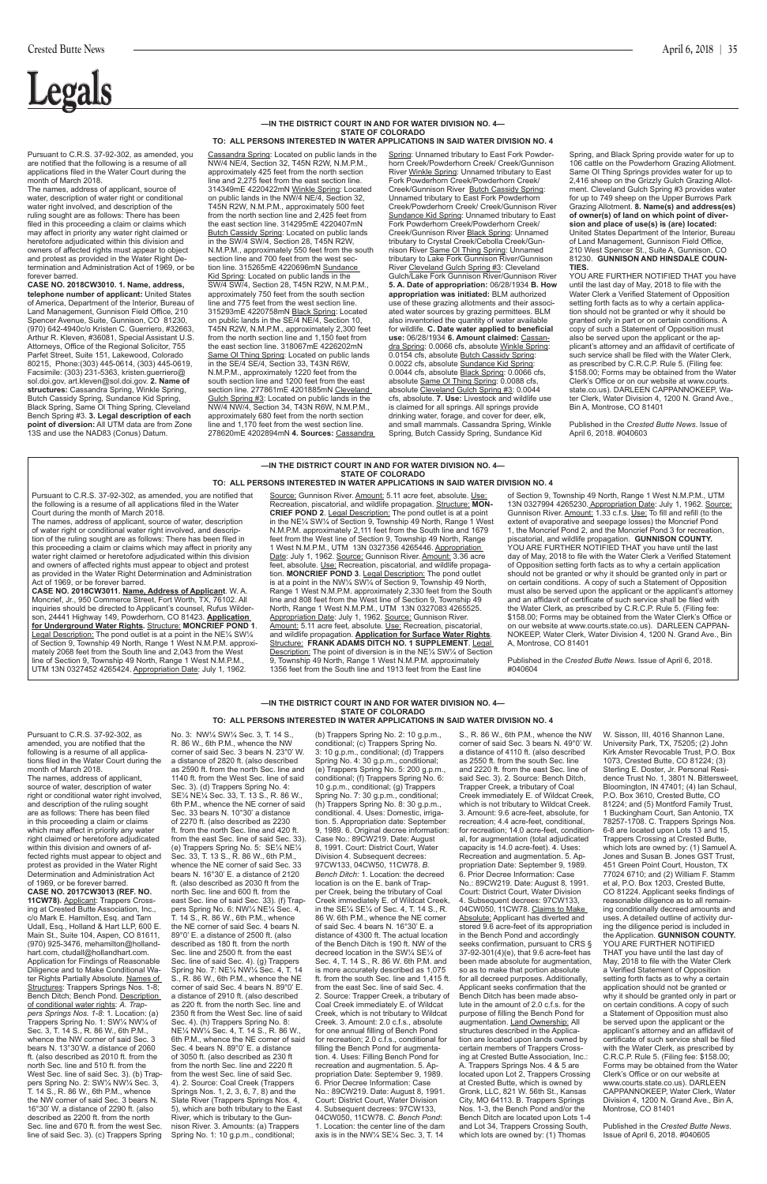# **Legal**

#### **—IN THE DISTRICT COURT IN AND FOR WATER DIVISION NO. 4— STATE OF COLORADO TO: ALL PERSONS INTERESTED IN WATER APPLICATIONS IN SAID WATER DIVISION NO. 4**

#### **—IN THE DISTRICT COURT IN AND FOR WATER DIVISION NO. 4— STATE OF COLORADO TO: ALL PERSONS INTERESTED IN WATER APPLICATIONS IN SAID WATER DIVISION NO. 4**

#### **—IN THE DISTRICT COURT IN AND FOR WATER DIVISION NO. 4— STATE OF COLORADO TO: ALL PERSONS INTERESTED IN WATER APPLICATIONS IN SAID WATER DIVISION NO. 4**

Pursuant to C.R.S. 37-92-302, as amended, you are notified that the following is a resume of all applications filed in the Water Court during the month of March 2018.

The names, address of applicant, source of water, description of water right or conditional water right involved, and description of the ruling sought are as follows: There has been filed in this proceeding a claim or claims which may affect in priority any water right claimed or heretofore adjudicated within this division and owners of affected rights must appear to object and protest as provided in the Water Right Determination and Administration Act of 1969, or be forever barred.

**CASE NO. 2018CW3010. 1. Name, address, telephone number of applicant:** United States of America, Department of the Interior, Bureau of Land Management, Gunnison Field Office, 210 Spencer Avenue, Suite, Gunnison, CO 81230, (970) 642-4940c/o Kristen C. Guerriero, #32663, Arthur R. Kleven, #36081, Special Assistant U.S. Attorneys, Office of the Regional Solicitor, 755 Parfet Street, Suite 151, Lakewood, Colorado 80215, Phone:(303) 445-0614, (303) 445-0619, Facsimile: (303) 231-5363, kristen.guerriero@ sol.doi.gov, art.kleven@sol.doi.gov. **2. Name of structures:** Cassandra Spring, Winkle Spring, Butch Cassidy Spring, Sundance Kid Spring, Black Spring, Same OI Thing Spring, Cleveland Bench Spring #3. **3. Legal description of each point of diversion:** All UTM data are from Zone 13S and use the NAD83 (Conus) Datum.

Cassandra Spring: Located on public lands in the NW/4 NE/4, Section 32, T45N R2W, N.M.P.M., approximately 425 feet from the north section line and 2,275 feet from the east section line. 314349mE 4220422mN Winkle Spring: Located on public lands in the NW/4 NE/4, Section 32, T45N R2W, N.M.P.M., approximately 500 feet from the north section line and 2,425 feet from the east section line. 314295mE 4220407mN Butch Cassidy Spring: Located on public lands in the SW/4 SW/4, Section 28, T45N R2W, N.M.P.M., approximately 550 feet from the south section line and 700 feet from the west section line. 315265mE 4220696mN Sundance Kid Spring: Located on public lands in the SW/4 SW/4, Section 28, T45N R2W, N.M.P.M., approximately 750 feet from the south section line and 775 feet from the west section line. 315293mE 4220758mN Black Spring: Located on public lands in the SE/4 NE/4, Section 10, T45N R2W, N.M.P.M., approximately 2,300 feet from the north section line and 1,150 feet from the east section line. 318067mE 4226202mN Same Ol Thing Spring: Located on public lands in the SE/4 SE/4, Section 33, T43N R6W, N.M.P.M., approximately 1220 feet from the south section line and 1200 feet from the east section line. 277861mE 4201885mN Cleveland Gulch Spring #3: Located on public lands in the NW/4 NW/4, Section 34, T43N R6W, N.M.P.M., approximately 680 feet from the north section line and 1,170 feet from the west section line. 278620mE 4202894mN **4. Sources:** Cassandra

The names, address of applicant source of water, description of water right or conditional water right involved, and description of the ruling sought are as follows: There has been filed in this proceeding a claim or claims which may affect in priority any water right claimed or heretofore adjudicated within this division and owners of affected rights must appear to object and protest as provided in the Water Right

Spring: Unnamed tributary to East Fork Powderhorn Creek/Powderhorn Creek/ Creek/Gunnison River Winkle Spring: Unnamed tributary to East Fork Powderhorn Creek/Powderhorn Creek/ **Creek/Gunnison River Butch Cassidy Spring:** Unnamed tributary to East Fork Powderhorn Creek/Powderhorn Creek/ Creek/Gunnison River Sundance Kid Spring: Unnamed tributary to East Fork Powderhorn Creek/Powderhorn Creek/ Creek/Gunnison River Black Spring: Unnamed tributary to Crystal Creek/Cebolla Creek/Gunnison River Same OI Thing Spring: Unnamed tributary to Lake Fork Gunnison River/Gunnison River Cleveland Gulch Spring #3: Cleveland Gulch/Lake Fork Gunnison River/Gunnison River **5. A. Date of appropriation:** 06/28/1934 **B. How appropriation was initiated:** BLM authorized use of these grazing allotments and their associated water sources by grazing permittees. BLM also inventoried the quantity of water available for wildlife. **C. Date water applied to beneficial use:** 06/28/1934 **6. Amount claimed:** Cassandra Spring: 0.0066 cfs, absolute Winkle Spring: 0.0154 cfs, absolute Butch Cassidy Spring: 0.0022 cfs, absolute Sundance Kid Spring: 0.0044 cfs, absolute Black Spring: 0.0066 cfs, absolute Same Ol Thing Spring: 0.0088 cfs, absolute Cleveland Gulch Spring #3: 0.0044 cfs, absolute. **7. Use:** Livestock and wildlife use is claimed for all springs. All springs provide drinking water, forage, and cover for deer, elk, and small mammals. Cassandra Spring, Winkle Spring, Butch Cassidy Spring, Sundance Kid

Spring, and Black Spring provide water for up to 106 cattle on the Powderhorn Grazing Allotment. Same Ol Thing Springs provides water for up to 2,416 sheep on the Grizzly Gulch Grazing Allotment. Cleveland Gulch Spring #3 provides water for up to 749 sheep on the Upper Burrows Park Grazing Allotment. **8. Name(s) and address(es) of owner(s) of land on which point of diversion and place of use(s) is (are) located:** United States Department of the Interior, Bureau of Land Management, Gunnison Field Office, 210 West Spencer St., Suite A, Gunnison, CO 81230. **GUNNISON AND HINSDALE COUN-TIES.**

YOU ARE FURTHER NOTIFIED THAT you have until the last day of May, 2018 to file with the Water Clerk a Verified Statement of Opposition setting forth facts as to why a certain application should not be granted or why it should be granted only in part or on certain conditions. A copy of such a Statement of Opposition must also be served upon the applicant or the applicant's attorney and an affidavit of certificate of .<br>such service shall be filed with the Water Clerk, as prescribed by C.R.C.P. Rule 5. (Filing fee: \$158.00; Forms may be obtained from the Water Clerk's Office or on our website at www.courts. state.co.us). DARLEEN CAPPANNOKEEP, Water Clerk, Water Division 4, 1200 N. Grand Ave., Bin A, Montrose, CO 81401

Published in the *Crested Butte News*. Issue of April 6, 2018. #040603

Pursuant to C.R.S. 37-92-302, as amended, you are notified that the following is a resume of all applications filed in the Water Court during the month of March 2018.

Determination and Administration Act of 1969, or be forever barred. **CASE NO. 2017CW3013 (REF. NO.**  11CW78). **Applicant: Trappers Cross**ing at Crested Butte Association, Inc., c/o Mark E. Hamilton, Esq. and Tarn Udall, Esq., Holland & Hart LLP, 600 E. Main St., Suite 104, Aspen, CO 81611, (970) 925-3476, mehamilton@hollandhart.com, ctudall@hollandhart.com. Application for Findings of Reasonable Diligence and to Make Conditional Water Rights Partially Absolute. Names of Structures: Trappers Springs Nos. 1-8; Bench Ditch; Bench Pond. Description of conditional water rights: *A. Trappers Springs Nos. 1-8*: 1. Location: (a) Trappers Spring No. 1: SW¼ NW¼ of Sec. 3, T. 14 S., R. 86 W., 6th P.M., whence the NW corner of said Sec. 3 bears N. 13°30'W. a distance of 2060 ft. (also described as 2010 ft. from the north Sec. line and 510 ft. from the West Sec. line of said Sec. 3). (b) Trappers Spring No. 2: SW1/4 NW1/4 Sec. 3, T. 14 S., R. 86 W., 6th P.M., whence the NW corner of said Sec. 3 bears N. 16°30' W. a distance of 2290 ft. (also described as 2200 ft. from the north Sec. line and 670 ft. from the west Sec. line of said Sec. 3). (c) Trappers Spring Source: Gunnison River. Amount: 5.11 acre feet, absolute. Use: Recreation, piscatorial, and wildlife propagation. Structure: **MON-CRIEF POND 2**. Legal Description: The pond outlet is at a point in the NE¼ SW¼ of Section 9, Township 49 North, Range 1 West N.M.P.M. approximately 2,111 feet from the South line and 1679 feet from the West line of Section 9, Township 49 North, Range 1 West N.M.P.M., UTM 13N 0327356 4265446. Appropriation Date: July 1, 1962. Source: Gunnison River. Amount: 3.36 acre feet, absolute. Use: Recreation, piscatorial, and wildlife propagation. **MONCRIEF POND 3**. Legal Description: The pond outlet is at a point in the NW¼ SW¼ of Section 9, Township 49 North, Range 1 West N.M.P.M. approximately 2,330 feet from the South line and 808 feet from the West line of Section 9, Township 49 North, Range 1 West N.M.P.M., UTM 13N 0327083 4265525. Appropriation Date: July 1, 1962. Source: Gunnison River. Amount: 5.11 acre feet, absolute. Use: Recreation, piscatorial and wildlife propagation. **Application for Surface Water Rights**. Structure: **FRANK ADAMS DITCH NO. 1 SUPPLEMENT**. Legal Description: The point of diversion is in the NE1/4 SW1/4 of Section 9, Township 49 North, Range 1 West N.M.P.M. approximately 1356 feet from the South line and 1913 feet from the East line

No. 3: NW¼ SW¼ Sec. 3, T. 14 S., R. 86 W., 6th P.M., whence the NW corner of said Sec. 3 bears N. 23°0' W. a distance of 2820 ft. (also described as 2590 ft. from the north Sec. line and 1140 ft. from the West Sec. line of said Sec. 3). (d) Trappers Spring No. 4: SE¼ NE¼ Sec. 33, T. 13 S., R. 86 W., 6th P.M., whence the NE corner of said Sec. 33 bears N. 10°30' a distance of 2270 ft. (also described as 2230 ft. from the north Sec. line and 420 ft. from the east Sec. line of said Sec. 33). (e) Trappers Spring No. 5: SE¼ NE¼ Sec. 33, T. 13 S., R. 86 W., 6th P.M., whence the NE corner of said Sec. 33 bears N. 16°30' E. a distance of 2120 ft. (also described as 2030 ft from the north Sec. line and 600 ft. from the east Sec. line of said Sec. 33). (f) Trappers Spring No. 6: NW¼ NE¼ Sec. 4, T. 14 S., R. 86 W., 6th P.M., whence the NE corner of said Sec. 4 bears N. 89°0' E. a distance of 2500 ft. (also described as 180 ft. from the north Sec. line and 2500 ft. from the east Sec. line of said Sec. 4). (g) Trappers Spring No. 7: NE¼ NW¼ Sec. 4, T. 14 S., R. 86 W., 6th P.M., whence the NE corner of said Sec. 4 bears N. 89°0' E. a distance of 2910 ft. (also described as 220 ft. from the north Sec. line and 2350 ft from the West Sec. line of said Sec. 4). (h) Trappers Spring No. 8: NE¼ NW¼ Sec. 4, T. 14 S., R. 86 W., 6th P.M., whence the NE corner of said Sec. 4 bears N. 89°0' E. a distance of 3050 ft. (also described as 230 ft from the north Sec. line and 2220 ft from the west Sec. line of said Sec. 4). 2. Source: Coal Creek (Trappers Springs Nos.  $1, 2, 3, 6, 7, 8$ ) and the Slate River (Trappers Springs Nos. 4, 5), which are both tributary to the East River, which is tributary to the Gunnison River. 3. Amounts: (a) Trappers Spring No. 1: 10 g.p.m., conditional;

(b) Trappers Spring No. 2: 10 g.p.m., conditional; (c) Trappers Spring No. 3: 10 g.p.m., conditional; (d) Trappers Spring No. 4: 30 g.p.m., conditional; (e) Trappers Spring No. 5: 200 g.p.m., conditional; (f) Trappers Spring No. 6: 10 g.p.m., conditional; (g) Trappers Spring No. 7: 30 g.p.m., conditional; (h) Trappers Spring No. 8: 30 g.p.m., conditional. 4. Uses: Domestic, irrigation. 5. Appropriation date: September 9, 1989. 6. Original decree information: Case No.: 89CW219. Date: August 8, 1991. Court: District Court, Water Division 4. Subsequent decrees: 97CW133, 04CW50, 11CW78. *B.* 

*Bench Ditch:* 1. Location: the decreed location is on the E. bank of Trapper Creek, being the tributary of Coal Creek immediately E. of Wildcat Creek, in the SE¼ SE¼ of Sec. 4, T. 14 S., R. 86 W. 6th P.M., whence the NE corner of said Sec. 4 bears N. 16°30' E. a distance of 4300 ft. The actual location of the Bench Ditch is 190 ft. NW of the decreed location in the SW¼ SE¼ of Sec. 4, T. 14 S., R. 86 W. 6th P.M. and is more accurately described as 1,075 ft. from the south Sec. line and 1,415 ft. from the east Sec. line of said Sec. 4. 2. Source: Trapper Creek, a tributary of Coal Creek immediately E. of Wildcat Creek, which is not tributary to Wildcat Creek. 3. Amount: 2.0 c.f.s., absolute for one annual filling of Bench Pond for recreation; 2.0 c.f.s., conditional for filling the Bench Pond for augmentation. 4. Uses: Filling Bench Pond for recreation and augmentation. 5. Appropriation Date: September 9, 1989. 6. Prior Decree Information: Case No.: 89CW219. Date: August 8, 1991. Court: District Court, Water Division 4. Subsequent decrees: 97CW133, 04CW050, 11CW78. *C. Bench Pond*: 1. Location: the center line of the dam axis is in the NW¼ SE¼ Sec. 3, T. 14

S., R. 86 W., 6th P.M., whence the NW corner of said Sec. 3 bears N. 49°0' W. a distance of 4110 ft. (also described as 2550 ft. from the south Sec. line and 2220 ft. from the east Sec. line of said Sec. 3). 2. Source: Bench Ditch, Trapper Creek, a tributary of Coal Creek immediately E. of Wildcat Creek, which is not tributary to Wildcat Creek. 3. Amount: 9.6 acre-feet, absolute, for recreation; 4.4 acre-feet, conditional, for recreation; 14.0 acre-feet, conditional, for augmentation (total adjudicated capacity is 14.0 acre-feet). 4. Uses: Recreation and augmentation. 5. Appropriation Date: September 9, 1989.

W. Sisson, III, 4016 Shannon Lane, University Park, TX, 75205; (2) John Kirk Amster Revocable Trust, P.O. Box 1073, Crested Butte, CO 81224; (3) Sterling E. Doster, Jr. Personal Residence Trust No. 1, 3801 N. Bittersweet, Bloomington, IN 47401; (4) Ian Schaul, P.O. Box 3610, Crested Butte, CO 81224; and (5) Montford Family Trust, 1 Buckingham Court, San Antonio, TX 78257-1708. C. Trappers Springs Nos. 6-8 are located upon Lots 13 and 15, Trappers Crossing at Crested Butte, which lots are owned by: (1) Samuel A. Jones and Susan B. Jones GST Trust, 451 Green Point Court, Houston, TX 77024 6710; and (2) William F. Stamm et al, P.O. Box 1203, Crested Butte, CO 81224. Applicant seeks findings of reasonable diligence as to all remaining conditionally decreed amounts and uses. A detailed outline of activity during the diligence period is included in the Application. **GUNNISON COUNTY.** YOU ARE FURTHER NOTIFIED THAT you have until the last day of May, 2018 to file with the Water Clerk a Verified Statement of Opposition setting forth facts as to why a certain application should not be granted or why it should be granted only in part or on certain conditions. A copy of such a Statement of Opposition must also be served upon the applicant or the applicant's attorney and an affidavit of certificate of such service shall be filed with the Water Clerk, as prescribed by C.R.C.P. Rule 5. (Filing fee: \$158.00; Forms may be obtained from the Water Clerk's Office or on our website at www.courts.state.co.us). DARLEEN CAPPANNOKEEP, Water Clerk, Water Division 4, 1200 N. Grand Ave., Bin A, Montrose, CO 81401

6. Prior Decree Information: Case No.: 89CW219. Date: August 8, 1991. Court: District Court, Water Division 4. Subsequent decrees: 97CW133, 04CW050, 11CW78. Claims to Make Absolute: Applicant has diverted and stored 9.6 acre-feet of its appropriation in the Bench Pond and accordingly seeks confirmation, pursuant to CRS § 37-92-301(4)(e), that 9.6 acre-feet has been made absolute for augmentation so as to make that portion absolute for all decreed purposes. Additionally, Applicant seeks confirmation that the Bench Ditch has been made absolute in the amount of 2.0 c.f.s. for the purpose of filling the Bench Pond for augmentation. Land Ownership: All structures described in the Application are located upon lands owned by certain members of Trappers Crossing at Crested Butte Association, Inc.: A. Trappers Springs Nos. 4 & 5 are located upon Lot 2, Trappers Crossing at Crested Butte, which is owned by Gronk, LLC, 821 W. 56th St., Kansas City, MO 64113. B. Trappers Springs Nos. 1-3, the Bench Pond and/or the Bench Ditch are located upon Lots 1-4 and Lot 34, Trappers Crossing South, which lots are owned by: (1) Thomas

Published in the *Crested Butte News*. Issue of April 6, 2018. #040605

Pursuant to C.R.S. 37-92-302, as amended, you are notified that the following is a resume of all applications filed in the Water Court during the month of March 2018.

The names, address of applicant, source of water, description of water right or conditional water right involved, and description of the ruling sought are as follows: There has been filed in this proceeding a claim or claims which may affect in priority any water right claimed or heretofore adjudicated within this division and owners of affected rights must appear to object and protest as provided in the Water Right Determination and Administration Act of 1969, or be forever barred.

**CASE NO. 2018CW3011. Name, Address of Applicant**. W. A. Moncrief, Jr., 950 Commerce Street, Fort Worth, TX, 76102. All inquiries should be directed to Applicant's counsel, Rufus Wilderson, 24441 Highway 149, Powderhorn, CO 81423. **Application for Underground Water Rights.** Structure: **MONCRIEF POND 1**. Legal Description: The pond outlet is at a point in the NE1/4 SW1/4 of Section 9, Township 49 North, Range 1 West N.M.P.M. approximately 2068 feet from the South line and 2,043 from the West line of Section 9, Township 49 North, Range 1 West N.M.P.M. UTM 13N 0327452 4265424. Appropriation Date: July 1, 1962.

of Section 9, Township 49 North, Range 1 West N.M.P.M., UTM 13N 0327994 4265230. Appropriation Date: July 1, 1962. Source: Gunnison River. Amount: 1.33 c.f.s. Use: To fill and refill (to the extent of evaporative and seepage losses) the Moncrief Pond 1, the Moncrief Pond 2, and the Moncrief Pond 3 for recreation, piscatorial, and wildlife propagation. **GUNNISON COUNTY.** YOU ARE FURTHER NOTIFIED THAT you have until the last day of May, 2018 to file with the Water Clerk a Verified Statement of Opposition setting forth facts as to why a certain application should not be granted or why it should be granted only in part or on certain conditions. A copy of such a Statement of Opposition must also be served upon the applicant or the applicant's attorney and an affidavit of certificate of such service shall be filed with the Water Clerk, as prescribed by C.R.C.P. Rule 5. (Filing fee: \$158.00; Forms may be obtained from the Water Clerk's Office or on our website at www.courts.state.co.us). DARLEEN CAPPAN-NOKEEP, Water Clerk, Water Division 4, 1200 N. Grand Ave., Bin A, Montrose, CO 81401

Published in the *Crested Butte News*. Issue of April 6, 2018. #040604